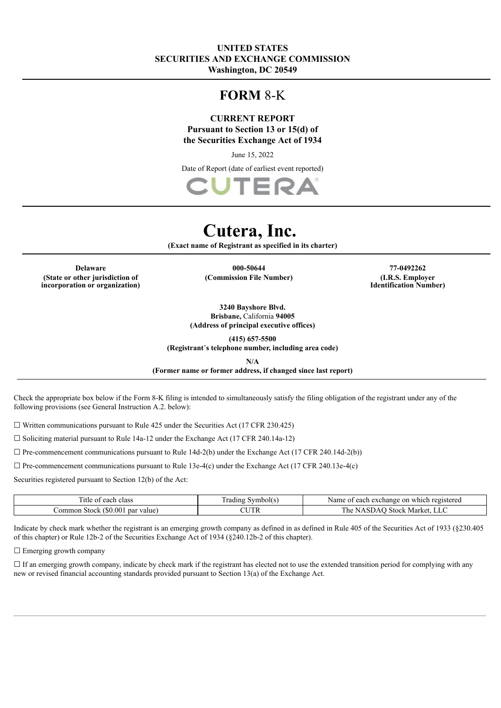# **UNITED STATES SECURITIES AND EXCHANGE COMMISSION Washington, DC 20549**

# **FORM** 8-K

# **CURRENT REPORT Pursuant to Section 13 or 15(d) of the Securities Exchange Act of 1934**

June 15, 2022

Date of Report (date of earliest event reported)



# **Cutera, Inc.**

**(Exact name of Registrant as specified in its charter)**

**(State or other jurisdiction of incorporation or organization)**

**Delaware 000-50644 77-0492262 (Commission File Number) (I.R.S. Employer**

**Identification Number)**

**3240 Bayshore Blvd.**

**Brisbane,** California **94005 (Address of principal executive offices)**

**(415) 657-5500**

**(Registrant**'**s telephone number, including area code)**

**N/A**

**(Former name or former address, if changed since last report)**

Check the appropriate box below if the Form 8-K filing is intended to simultaneously satisfy the filing obligation of the registrant under any of the following provisions (see General Instruction A.2. below):

 $\Box$  Written communications pursuant to Rule 425 under the Securities Act (17 CFR 230.425)

 $\Box$  Soliciting material pursuant to Rule 14a-12 under the Exchange Act (17 CFR 240.14a-12)

 $\Box$  Pre-commencement communications pursuant to Rule 14d-2(b) under the Exchange Act (17 CFR 240.14d-2(b))

☐ Pre-commencement communications pursuant to Rule 13e-4(c) under the Exchange Act (17 CFR 240.13e-4(c)

Securities registered pursuant to Section 12(b) of the Act:

| $\overline{\phantom{a}}$<br>class<br>. itle<br>10h<br>- OT<br>براسات        | `vmbol( s<br>rading | registereg<br>on<br>each<br>. which<br>∡chang∕<br>Nam<br>$\Delta x$<br><b>CAL</b> |
|-----------------------------------------------------------------------------|---------------------|-----------------------------------------------------------------------------------|
| .00 <sub>1</sub><br>۱۴۰۰،<br>par value<br>ommon :<br>ו וה<br>ЭH.<br>11 . IL | CUTR                | m<br>' he<br>. Marke'<br>$\lambda$ Stoc $\nu$<br>. ΙΔ                             |

Indicate by check mark whether the registrant is an emerging growth company as defined in as defined in Rule 405 of the Securities Act of 1933 (§230.405 of this chapter) or Rule 12b-2 of the Securities Exchange Act of 1934 (§240.12b-2 of this chapter).

□ Emerging growth company

 $\Box$  If an emerging growth company, indicate by check mark if the registrant has elected not to use the extended transition period for complying with any new or revised financial accounting standards provided pursuant to Section 13(a) of the Exchange Act.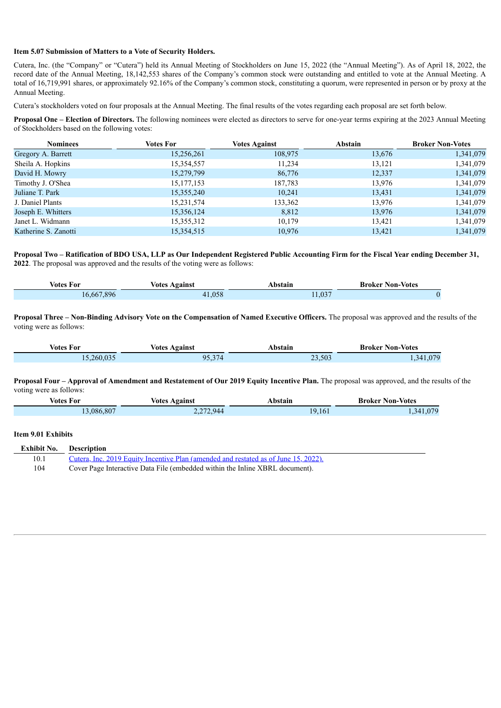#### **Item 5.07 Submission of Matters to a Vote of Security Holders.**

Cutera, Inc. (the "Company" or "Cutera") held its Annual Meeting of Stockholders on June 15, 2022 (the "Annual Meeting"). As of April 18, 2022, the record date of the Annual Meeting, 18,142,553 shares of the Company's common stock were outstanding and entitled to vote at the Annual Meeting. A total of 16,719,991 shares, or approximately 92.16% of the Company's common stock, constituting a quorum, were represented in person or by proxy at the Annual Meeting.

Cutera's stockholders voted on four proposals at the Annual Meeting. The final results of the votes regarding each proposal are set forth below.

**Proposal One – Election of Directors.** The following nominees were elected as directors to serve for one-year terms expiring at the 2023 Annual Meeting of Stockholders based on the following votes:

| <b>Nominees</b>      | <b>Votes For</b> | <b>Votes Against</b> | <b>Abstain</b> | <b>Broker Non-Votes</b> |
|----------------------|------------------|----------------------|----------------|-------------------------|
| Gregory A. Barrett   | 15,256,261       | 108,975              | 13,676         | 1,341,079               |
| Sheila A. Hopkins    | 15,354,557       | 11,234               | 13,121         | 1,341,079               |
| David H. Mowry       | 15,279,799       | 86,776               | 12,337         | 1,341,079               |
| Timothy J. O'Shea    | 15, 177, 153     | 187,783              | 13,976         | 1,341,079               |
| Juliane T. Park      | 15,355,240       | 10,241               | 13,431         | 1,341,079               |
| J. Daniel Plants     | 15,231,574       | 133,362              | 13,976         | 1,341,079               |
| Joseph E. Whitters   | 15,356,124       | 8,812                | 13,976         | 1,341,079               |
| Janet L. Widmann     | 15,355,312       | 10,179               | 13,421         | 1,341,079               |
| Katherine S. Zanotti | 15,354,515       | 10,976               | 13,421         | 1,341,079               |

Proposal Two - Ratification of BDO USA, LLP as Our Independent Registered Public Accounting Firm for the Fiscal Year ending December 31, **2022**. The proposal was approved and the results of the voting were as follows:

| Votes For  | <b>Votes Against</b> | Abstain | <b>Broker Non-Votes</b> |
|------------|----------------------|---------|-------------------------|
| 16 667 896 | 058                  | 1,037   |                         |

Proposal Three - Non-Binding Advisory Vote on the Compensation of Named Executive Officers. The proposal was approved and the results of the voting were as follows:

| Votes For | <b>Votes Against</b> | Abstain | <b>Broker Non-Votes</b>  |
|-----------|----------------------|---------|--------------------------|
| 260.035   | 05.37/<br>74<br>، ب  | 23,503  | 1.07 <sup>c</sup><br>341 |

#### Proposal Four - Approval of Amendment and Restatement of Our 2019 Equity Incentive Plan. The proposal was approved, and the results of the voting were as follows:

| votes For | votes<br>Voainst<br>. | hetoin<br>. | ·Votes<br>Non-<br>Kroker<br>. |
|-----------|-----------------------|-------------|-------------------------------|
| .086.807  | 272,944               | 1 Q<br>I b  | ገግበ<br>3⊿<br>.                |

#### **Item 9.01 Exhibits**

|      | <b>Exhibit No.</b> Description                                                      |
|------|-------------------------------------------------------------------------------------|
| 10.1 | Cutera, Inc. 2019 Equity Incentive Plan (amended and restated as of June 15, 2022). |
| 104  | Cover Page Interactive Data File (embedded within the Inline XBRL document).        |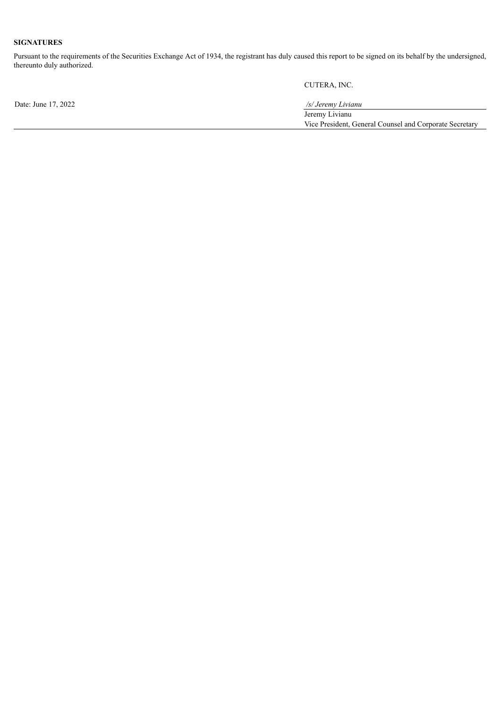# **SIGNATURES**

Pursuant to the requirements of the Securities Exchange Act of 1934, the registrant has duly caused this report to be signed on its behalf by the undersigned, thereunto duly authorized.

CUTERA, INC.

| Date: June 17, 2022 | /s/ Jeremy Livianu                                      |
|---------------------|---------------------------------------------------------|
|                     | Jeremy Livianu                                          |
|                     | Vice President, General Counsel and Corporate Secretary |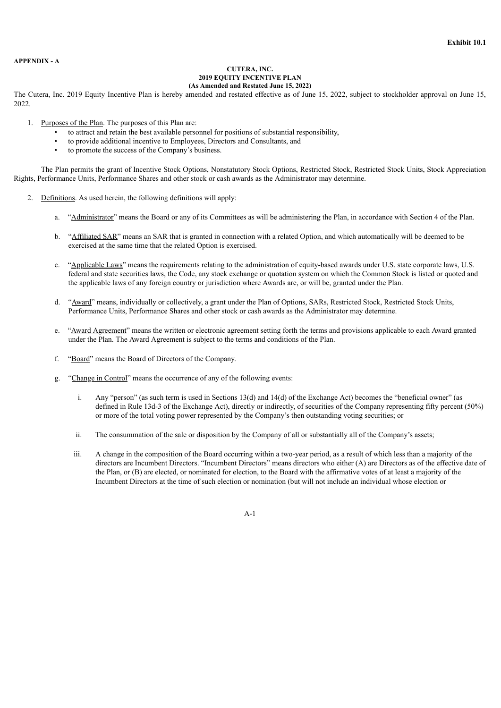#### <span id="page-3-0"></span>**APPENDIX - A**

#### **CUTERA, INC. 2019 EQUITY INCENTIVE PLAN (As Amended and Restated June 15, 2022)**

The Cutera, Inc. 2019 Equity Incentive Plan is hereby amended and restated effective as of June 15, 2022, subject to stockholder approval on June 15, 2022.

- 1. Purposes of the Plan. The purposes of this Plan are:
	- to attract and retain the best available personnel for positions of substantial responsibility,
	- to provide additional incentive to Employees, Directors and Consultants, and
	- to promote the success of the Company's business.

The Plan permits the grant of Incentive Stock Options, Nonstatutory Stock Options, Restricted Stock, Restricted Stock Units, Stock Appreciation Rights, Performance Units, Performance Shares and other stock or cash awards as the Administrator may determine.

- 2. Definitions. As used herein, the following definitions will apply:
	- a. "Administrator" means the Board or any of its Committees as will be administering the Plan, in accordance with Section 4 of the Plan.
	- b. "Affiliated SAR" means an SAR that is granted in connection with a related Option, and which automatically will be deemed to be exercised at the same time that the related Option is exercised.
	- c. "Applicable Laws" means the requirements relating to the administration of equity-based awards under U.S. state corporate laws, U.S. federal and state securities laws, the Code, any stock exchange or quotation system on which the Common Stock is listed or quoted and the applicable laws of any foreign country or jurisdiction where Awards are, or will be, granted under the Plan.
	- d. "Award" means, individually or collectively, a grant under the Plan of Options, SARs, Restricted Stock, Restricted Stock Units, Performance Units, Performance Shares and other stock or cash awards as the Administrator may determine.
	- e. "Award Agreement" means the written or electronic agreement setting forth the terms and provisions applicable to each Award granted under the Plan. The Award Agreement is subject to the terms and conditions of the Plan.
	- f. "Board" means the Board of Directors of the Company.
	- g. "Change in Control" means the occurrence of any of the following events:
		- i. Any "person" (as such term is used in Sections 13(d) and 14(d) of the Exchange Act) becomes the "beneficial owner" (as defined in Rule 13d-3 of the Exchange Act), directly or indirectly, of securities of the Company representing fifty percent (50%) or more of the total voting power represented by the Company's then outstanding voting securities; or
		- ii. The consummation of the sale or disposition by the Company of all or substantially all of the Company's assets;
		- iii. A change in the composition of the Board occurring within a two-year period, as a result of which less than a majority of the directors are Incumbent Directors. "Incumbent Directors" means directors who either (A) are Directors as of the effective date of the Plan, or (B) are elected, or nominated for election, to the Board with the affirmative votes of at least a majority of the Incumbent Directors at the time of such election or nomination (but will not include an individual whose election or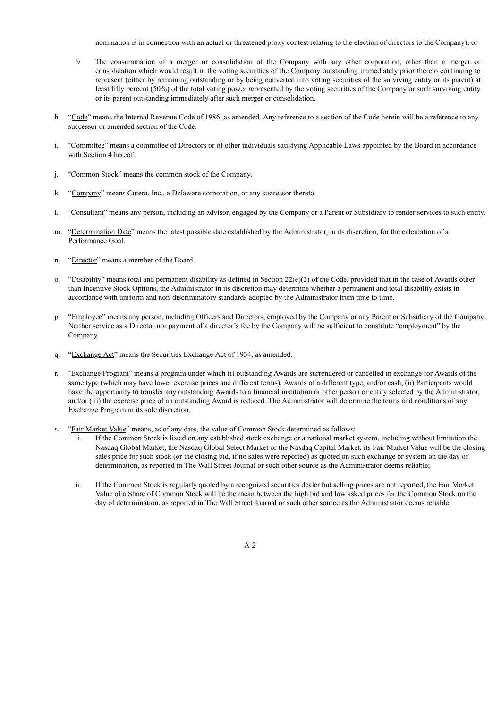nomination is in connection with an actual or threatened proxy contest relating to the election of directors to the Company); or

- *iv.* The consummation of a merger or consolidation of the Company with any other corporation, other than a merger or consolidation which would result in the voting securities of the Company outstanding immediately prior thereto continuing to represent (either by remaining outstanding or by being converted into voting securities of the surviving entity or its parent) at least fifty percent (50%) of the total voting power represented by the voting securities of the Company or such surviving entity or its parent outstanding immediately after such merger or consolidation.
- h. "Code" means the Internal Revenue Code of 1986, as amended. Any reference to a section of the Code herein will be a reference to any successor or amended section of the Code.
- i. "Committee" means a committee of Directors or of other individuals satisfying Applicable Laws appointed by the Board in accordance with Section 4 hereof.
- j. "Common Stock" means the common stock of the Company.
- k. "Company" means Cutera, Inc., a Delaware corporation, or any successor thereto.
- l. "Consultant" means any person, including an advisor, engaged by the Company or a Parent or Subsidiary to render services to such entity.
- m. "Determination Date" means the latest possible date established by the Administrator, in its discretion, for the calculation of a Performance Goal.
- n. "Director" means a member of the Board.
- o. "Disability" means total and permanent disability as defined in Section 22(e)(3) of the Code, provided that in the case of Awards other than Incentive Stock Options, the Administrator in its discretion may determine whether a permanent and total disability exists in accordance with uniform and non-discriminatory standards adopted by the Administrator from time to time.
- p. "Employee" means any person, including Officers and Directors, employed by the Company or any Parent or Subsidiary of the Company. Neither service as a Director nor payment of a director's fee by the Company will be sufficient to constitute "employment" by the Company.
- q. "Exchange Act" means the Securities Exchange Act of 1934, as amended.
- r. "Exchange Program" means a program under which (i) outstanding Awards are surrendered or cancelled in exchange for Awards of the same type (which may have lower exercise prices and different terms), Awards of a different type, and/or cash, (ii) Participants would have the opportunity to transfer any outstanding Awards to a financial institution or other person or entity selected by the Administrator, and/or (iii) the exercise price of an outstanding Award is reduced. The Administrator will determine the terms and conditions of any Exchange Program in its sole discretion.
- s. "Fair Market Value" means, as of any date, the value of Common Stock determined as follows:
	- i. If the Common Stock is listed on any established stock exchange or a national market system, including without limitation the Nasdaq Global Market, the Nasdaq Global Select Market or the Nasdaq Capital Market, its Fair Market Value will be the closing sales price for such stock (or the closing bid, if no sales were reported) as quoted on such exchange or system on the day of determination, as reported in The Wall Street Journal or such other source as the Administrator deems reliable;
	- ii. If the Common Stock is regularly quoted by a recognized securities dealer but selling prices are not reported, the Fair Market Value of a Share of Common Stock will be the mean between the high bid and low asked prices for the Common Stock on the day of determination, as reported in The Wall Street Journal or such other source as the Administrator deems reliable;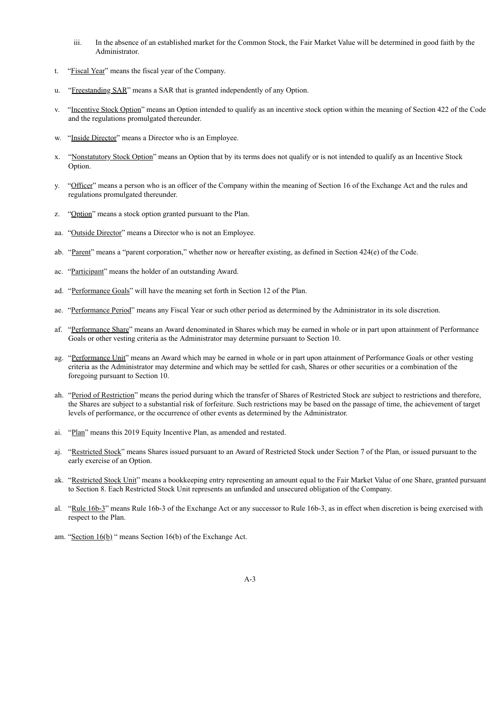- iii. In the absence of an established market for the Common Stock, the Fair Market Value will be determined in good faith by the Administrator.
- t. "Fiscal Year" means the fiscal year of the Company.
- u. "Freestanding SAR" means a SAR that is granted independently of any Option.
- v. "Incentive Stock Option" means an Option intended to qualify as an incentive stock option within the meaning of Section 422 of the Code and the regulations promulgated thereunder.
- w. "Inside Director" means a Director who is an Employee.
- x. "Nonstatutory Stock Option" means an Option that by its terms does not qualify or is not intended to qualify as an Incentive Stock Option.
- y. "Officer" means a person who is an officer of the Company within the meaning of Section 16 of the Exchange Act and the rules and regulations promulgated thereunder.
- z. "Option" means a stock option granted pursuant to the Plan.
- aa. "Outside Director" means a Director who is not an Employee.
- ab. "Parent" means a "parent corporation," whether now or hereafter existing, as defined in Section 424(e) of the Code.
- ac. "Participant" means the holder of an outstanding Award.
- ad. "Performance Goals" will have the meaning set forth in Section 12 of the Plan.
- ae. "Performance Period" means any Fiscal Year or such other period as determined by the Administrator in its sole discretion.
- af. "Performance Share" means an Award denominated in Shares which may be earned in whole or in part upon attainment of Performance Goals or other vesting criteria as the Administrator may determine pursuant to Section 10.
- ag. "Performance Unit" means an Award which may be earned in whole or in part upon attainment of Performance Goals or other vesting criteria as the Administrator may determine and which may be settled for cash, Shares or other securities or a combination of the foregoing pursuant to Section 10.
- ah. "Period of Restriction" means the period during which the transfer of Shares of Restricted Stock are subject to restrictions and therefore, the Shares are subject to a substantial risk of forfeiture. Such restrictions may be based on the passage of time, the achievement of target levels of performance, or the occurrence of other events as determined by the Administrator.
- ai. "Plan" means this 2019 Equity Incentive Plan, as amended and restated.
- aj. "Restricted Stock" means Shares issued pursuant to an Award of Restricted Stock under Section 7 of the Plan, or issued pursuant to the early exercise of an Option.
- ak. "Restricted Stock Unit" means a bookkeeping entry representing an amount equal to the Fair Market Value of one Share, granted pursuant to Section 8. Each Restricted Stock Unit represents an unfunded and unsecured obligation of the Company.
- al. "Rule 16b-3" means Rule 16b-3 of the Exchange Act or any successor to Rule 16b-3, as in effect when discretion is being exercised with respect to the Plan.
- am. "Section 16(b)" means Section 16(b) of the Exchange Act.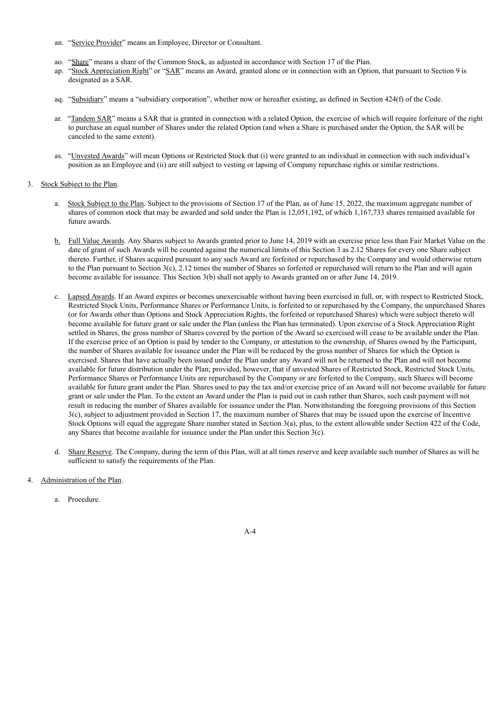- an. "Service Provider" means an Employee, Director or Consultant.
- ao. "Share" means a share of the Common Stock, as adjusted in accordance with Section 17 of the Plan.
- ap. "Stock Appreciation Right" or "SAR" means an Award, granted alone or in connection with an Option, that pursuant to Section 9 is designated as a SAR.
- aq. "Subsidiary" means a "subsidiary corporation", whether now or hereafter existing, as defined in Section 424(f) of the Code.
- ar. "Tandem SAR" means a SAR that is granted in connection with a related Option, the exercise of which will require forfeiture of the right to purchase an equal number of Shares under the related Option (and when a Share is purchased under the Option, the SAR will be canceled to the same extent).
- as. "Unvested Awards" will mean Options or Restricted Stock that (i) were granted to an individual in connection with such individual's position as an Employee and (ii) are still subject to vesting or lapsing of Company repurchase rights or similar restrictions.
- 3. Stock Subject to the Plan.
	- a. Stock Subject to the Plan. Subject to the provisions of Section 17 of the Plan, as of June 15, 2022, the maximum aggregate number of shares of common stock that may be awarded and sold under the Plan is 12,051,192, of which 1,167,733 shares remained available for future awards.
	- b. Full Value Awards. Any Shares subject to Awards granted prior to June 14, 2019 with an exercise price less than Fair Market Value on the date of grant of such Awards will be counted against the numerical limits of this Section 3 as 2.12 Shares for every one Share subject thereto. Further, if Shares acquired pursuant to any such Award are forfeited or repurchased by the Company and would otherwise return to the Plan pursuant to Section  $3(c)$ , 2.12 times the number of Shares so forfeited or repurchased will return to the Plan and will again become available for issuance. This Section 3(b) shall not apply to Awards granted on or after June 14, 2019.
	- c. Lapsed Awards. If an Award expires or becomes unexercisable without having been exercised in full, or, with respect to Restricted Stock, Restricted Stock Units, Performance Shares or Performance Units, is forfeited to or repurchased by the Company, the unpurchased Shares (or for Awards other than Options and Stock Appreciation Rights, the forfeited or repurchased Shares) which were subject thereto will become available for future grant or sale under the Plan (unless the Plan has terminated). Upon exercise of a Stock Appreciation Right settled in Shares, the gross number of Shares covered by the portion of the Award so exercised will cease to be available under the Plan. If the exercise price of an Option is paid by tender to the Company, or attestation to the ownership, of Shares owned by the Participant, the number of Shares available for issuance under the Plan will be reduced by the gross number of Shares for which the Option is exercised. Shares that have actually been issued under the Plan under any Award will not be returned to the Plan and will not become available for future distribution under the Plan; provided, however, that if unvested Shares of Restricted Stock, Restricted Stock Units, Performance Shares or Performance Units are repurchased by the Company or are forfeited to the Company, such Shares will become available for future grant under the Plan. Shares used to pay the tax and/or exercise price of an Award will not become available for future grant or sale under the Plan. To the extent an Award under the Plan is paid out in cash rather than Shares, such cash payment will not result in reducing the number of Shares available for issuance under the Plan. Notwithstanding the foregoing provisions of this Section 3(c), subject to adjustment provided in Section 17, the maximum number of Shares that may be issued upon the exercise of Incentive Stock Options will equal the aggregate Share number stated in Section 3(a), plus, to the extent allowable under Section 422 of the Code, any Shares that become available for issuance under the Plan under this Section 3(c).
	- d. Share Reserve. The Company, during the term of this Plan, will at all times reserve and keep available such number of Shares as will be sufficient to satisfy the requirements of the Plan.
- Administration of the Plan.
	- a. Procedure.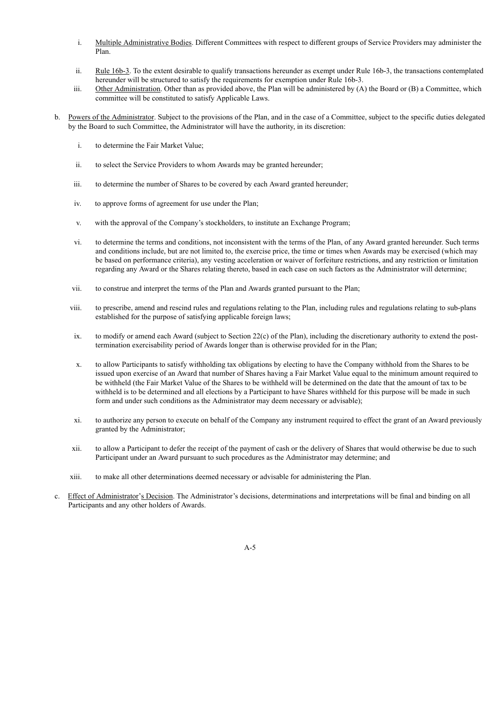- i. Multiple Administrative Bodies. Different Committees with respect to different groups of Service Providers may administer the Plan.
- ii. Rule 16b-3. To the extent desirable to qualify transactions hereunder as exempt under Rule 16b-3, the transactions contemplated hereunder will be structured to satisfy the requirements for exemption under Rule 16b-3.
- iii. Other Administration. Other than as provided above, the Plan will be administered by (A) the Board or (B) a Committee, which committee will be constituted to satisfy Applicable Laws.
- b. Powers of the Administrator. Subject to the provisions of the Plan, and in the case of a Committee, subject to the specific duties delegated by the Board to such Committee, the Administrator will have the authority, in its discretion:
	- i. to determine the Fair Market Value;
	- ii. to select the Service Providers to whom Awards may be granted hereunder;
	- iii. to determine the number of Shares to be covered by each Award granted hereunder;
	- iv. to approve forms of agreement for use under the Plan;
	- v. with the approval of the Company's stockholders, to institute an Exchange Program;
	- vi. to determine the terms and conditions, not inconsistent with the terms of the Plan, of any Award granted hereunder. Such terms and conditions include, but are not limited to, the exercise price, the time or times when Awards may be exercised (which may be based on performance criteria), any vesting acceleration or waiver of forfeiture restrictions, and any restriction or limitation regarding any Award or the Shares relating thereto, based in each case on such factors as the Administrator will determine;
	- vii. to construe and interpret the terms of the Plan and Awards granted pursuant to the Plan;
	- viii. to prescribe, amend and rescind rules and regulations relating to the Plan, including rules and regulations relating to sub-plans established for the purpose of satisfying applicable foreign laws;
	- ix. to modify or amend each Award (subject to Section 22(c) of the Plan), including the discretionary authority to extend the posttermination exercisability period of Awards longer than is otherwise provided for in the Plan;
	- x. to allow Participants to satisfy withholding tax obligations by electing to have the Company withhold from the Shares to be issued upon exercise of an Award that number of Shares having a Fair Market Value equal to the minimum amount required to be withheld (the Fair Market Value of the Shares to be withheld will be determined on the date that the amount of tax to be withheld is to be determined and all elections by a Participant to have Shares withheld for this purpose will be made in such form and under such conditions as the Administrator may deem necessary or advisable);
	- xi. to authorize any person to execute on behalf of the Company any instrument required to effect the grant of an Award previously granted by the Administrator;
	- xii. to allow a Participant to defer the receipt of the payment of cash or the delivery of Shares that would otherwise be due to such Participant under an Award pursuant to such procedures as the Administrator may determine; and
	- xiii. to make all other determinations deemed necessary or advisable for administering the Plan.
- c. Effect of Administrator's Decision. The Administrator's decisions, determinations and interpretations will be final and binding on all Participants and any other holders of Awards.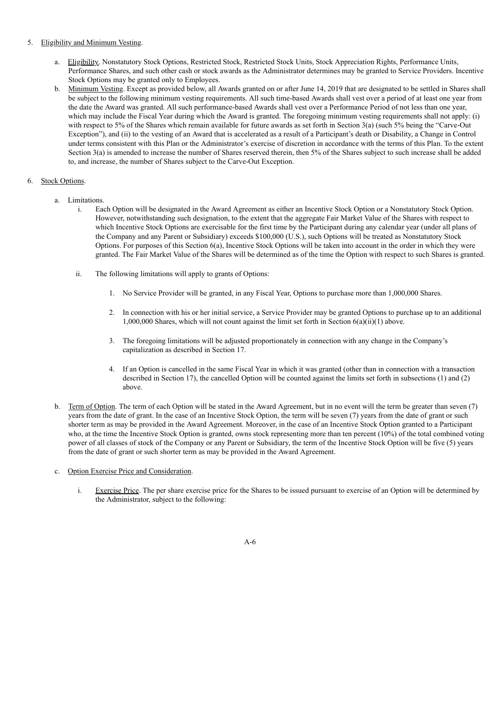#### 5. Eligibility and Minimum Vesting.

- a. Eligibility. Nonstatutory Stock Options, Restricted Stock, Restricted Stock Units, Stock Appreciation Rights, Performance Units, Performance Shares, and such other cash or stock awards as the Administrator determines may be granted to Service Providers. Incentive Stock Options may be granted only to Employees.
- b. Minimum Vesting. Except as provided below, all Awards granted on or after June 14, 2019 that are designated to be settled in Shares shall be subject to the following minimum vesting requirements. All such time-based Awards shall vest over a period of at least one year from the date the Award was granted. All such performance-based Awards shall vest over a Performance Period of not less than one year, which may include the Fiscal Year during which the Award is granted. The foregoing minimum vesting requirements shall not apply: (i) with respect to 5% of the Shares which remain available for future awards as set forth in Section 3(a) (such 5% being the "Carve-Out Exception"), and (ii) to the vesting of an Award that is accelerated as a result of a Participant's death or Disability, a Change in Control under terms consistent with this Plan or the Administrator's exercise of discretion in accordance with the terms of this Plan. To the extent Section 3(a) is amended to increase the number of Shares reserved therein, then 5% of the Shares subject to such increase shall be added to, and increase, the number of Shares subject to the Carve-Out Exception.

# 6. Stock Options.

- a. Limitations.
	- i. Each Option will be designated in the Award Agreement as either an Incentive Stock Option or a Nonstatutory Stock Option. However, notwithstanding such designation, to the extent that the aggregate Fair Market Value of the Shares with respect to which Incentive Stock Options are exercisable for the first time by the Participant during any calendar year (under all plans of the Company and any Parent or Subsidiary) exceeds \$100,000 (U.S.), such Options will be treated as Nonstatutory Stock Options. For purposes of this Section 6(a), Incentive Stock Options will be taken into account in the order in which they were granted. The Fair Market Value of the Shares will be determined as of the time the Option with respect to such Shares is granted.
	- ii. The following limitations will apply to grants of Options:
		- 1. No Service Provider will be granted, in any Fiscal Year, Options to purchase more than 1,000,000 Shares.
		- 2. In connection with his or her initial service, a Service Provider may be granted Options to purchase up to an additional 1,000,000 Shares, which will not count against the limit set forth in Section 6(a)(ii)(1) above.
		- 3. The foregoing limitations will be adjusted proportionately in connection with any change in the Company's capitalization as described in Section 17.
		- 4. If an Option is cancelled in the same Fiscal Year in which it was granted (other than in connection with a transaction described in Section 17), the cancelled Option will be counted against the limits set forth in subsections (1) and (2) above.
- b. Term of Option. The term of each Option will be stated in the Award Agreement, but in no event will the term be greater than seven (7) years from the date of grant. In the case of an Incentive Stock Option, the term will be seven (7) years from the date of grant or such shorter term as may be provided in the Award Agreement. Moreover, in the case of an Incentive Stock Option granted to a Participant who, at the time the Incentive Stock Option is granted, owns stock representing more than ten percent (10%) of the total combined voting power of all classes of stock of the Company or any Parent or Subsidiary, the term of the Incentive Stock Option will be five (5) years from the date of grant or such shorter term as may be provided in the Award Agreement.
- c. Option Exercise Price and Consideration.
	- i. Exercise Price. The per share exercise price for the Shares to be issued pursuant to exercise of an Option will be determined by the Administrator, subject to the following:

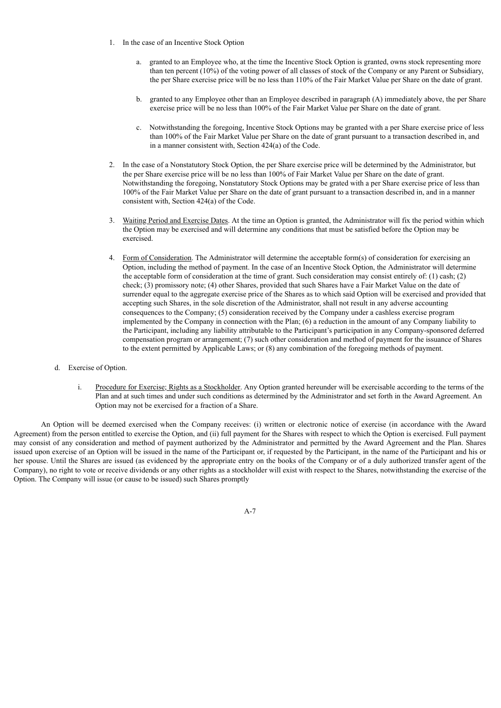- 1. In the case of an Incentive Stock Option
	- a. granted to an Employee who, at the time the Incentive Stock Option is granted, owns stock representing more than ten percent (10%) of the voting power of all classes of stock of the Company or any Parent or Subsidiary, the per Share exercise price will be no less than 110% of the Fair Market Value per Share on the date of grant.
	- b. granted to any Employee other than an Employee described in paragraph (A) immediately above, the per Share exercise price will be no less than 100% of the Fair Market Value per Share on the date of grant.
	- c. Notwithstanding the foregoing, Incentive Stock Options may be granted with a per Share exercise price of less than 100% of the Fair Market Value per Share on the date of grant pursuant to a transaction described in, and in a manner consistent with, Section 424(a) of the Code.
- 2. In the case of a Nonstatutory Stock Option, the per Share exercise price will be determined by the Administrator, but the per Share exercise price will be no less than 100% of Fair Market Value per Share on the date of grant. Notwithstanding the foregoing, Nonstatutory Stock Options may be grated with a per Share exercise price of less than 100% of the Fair Market Value per Share on the date of grant pursuant to a transaction described in, and in a manner consistent with, Section 424(a) of the Code.
- 3. Waiting Period and Exercise Dates. At the time an Option is granted, the Administrator will fix the period within which the Option may be exercised and will determine any conditions that must be satisfied before the Option may be exercised.
- 4. Form of Consideration. The Administrator will determine the acceptable form(s) of consideration for exercising an Option, including the method of payment. In the case of an Incentive Stock Option, the Administrator will determine the acceptable form of consideration at the time of grant. Such consideration may consist entirely of: (1) cash; (2) check; (3) promissory note; (4) other Shares, provided that such Shares have a Fair Market Value on the date of surrender equal to the aggregate exercise price of the Shares as to which said Option will be exercised and provided that accepting such Shares, in the sole discretion of the Administrator, shall not result in any adverse accounting consequences to the Company; (5) consideration received by the Company under a cashless exercise program implemented by the Company in connection with the Plan; (6) a reduction in the amount of any Company liability to the Participant, including any liability attributable to the Participant's participation in any Company-sponsored deferred compensation program or arrangement; (7) such other consideration and method of payment for the issuance of Shares to the extent permitted by Applicable Laws; or (8) any combination of the foregoing methods of payment.
- d. Exercise of Option.
	- i. Procedure for Exercise; Rights as a Stockholder. Any Option granted hereunder will be exercisable according to the terms of the Plan and at such times and under such conditions as determined by the Administrator and set forth in the Award Agreement. An Option may not be exercised for a fraction of a Share.

An Option will be deemed exercised when the Company receives: (i) written or electronic notice of exercise (in accordance with the Award Agreement) from the person entitled to exercise the Option, and (ii) full payment for the Shares with respect to which the Option is exercised. Full payment may consist of any consideration and method of payment authorized by the Administrator and permitted by the Award Agreement and the Plan. Shares issued upon exercise of an Option will be issued in the name of the Participant or, if requested by the Participant, in the name of the Participant and his or her spouse. Until the Shares are issued (as evidenced by the appropriate entry on the books of the Company or of a duly authorized transfer agent of the Company), no right to vote or receive dividends or any other rights as a stockholder will exist with respect to the Shares, notwithstanding the exercise of the Option. The Company will issue (or cause to be issued) such Shares promptly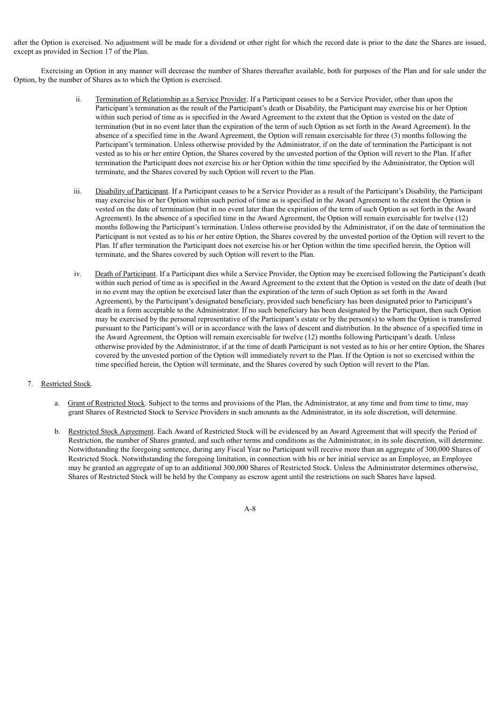after the Option is exercised. No adjustment will be made for a dividend or other right for which the record date is prior to the date the Shares are issued, except as provided in Section 17 of the Plan.

Exercising an Option in any manner will decrease the number of Shares thereafter available, both for purposes of the Plan and for sale under the Option, by the number of Shares as to which the Option is exercised.

- ii. Termination of Relationship as a Service Provider. If a Participant ceases to be a Service Provider, other than upon the Participant's termination as the result of the Participant's death or Disability, the Participant may exercise his or her Option within such period of time as is specified in the Award Agreement to the extent that the Option is vested on the date of termination (but in no event later than the expiration of the term of such Option as set forth in the Award Agreement). In the absence of a specified time in the Award Agreement, the Option will remain exercisable for three (3) months following the Participant's termination. Unless otherwise provided by the Administrator, if on the date of termination the Participant is not vested as to his or her entire Option, the Shares covered by the unvested portion of the Option will revert to the Plan. If after termination the Participant does not exercise his or her Option within the time specified by the Administrator, the Option will terminate, and the Shares covered by such Option will revert to the Plan.
- iii. Disability of Participant. If a Participant ceases to be a Service Provider as a result of the Participant's Disability, the Participant may exercise his or her Option within such period of time as is specified in the Award Agreement to the extent the Option is vested on the date of termination (but in no event later than the expiration of the term of such Option as set forth in the Award Agreement). In the absence of a specified time in the Award Agreement, the Option will remain exercisable for twelve (12) months following the Participant's termination. Unless otherwise provided by the Administrator, if on the date of termination the Participant is not vested as to his or her entire Option, the Shares covered by the unvested portion of the Option will revert to the Plan. If after termination the Participant does not exercise his or her Option within the time specified herein, the Option will terminate, and the Shares covered by such Option will revert to the Plan.
- iv. Death of Participant. If a Participant dies while a Service Provider, the Option may be exercised following the Participant's death within such period of time as is specified in the Award Agreement to the extent that the Option is vested on the date of death (but in no event may the option be exercised later than the expiration of the term of such Option as set forth in the Award Agreement), by the Participant's designated beneficiary, provided such beneficiary has been designated prior to Participant's death in a form acceptable to the Administrator. If no such beneficiary has been designated by the Participant, then such Option may be exercised by the personal representative of the Participant's estate or by the person(s) to whom the Option is transferred pursuant to the Participant's will or in accordance with the laws of descent and distribution. In the absence of a specified time in the Award Agreement, the Option will remain exercisable for twelve (12) months following Participant's death. Unless otherwise provided by the Administrator, if at the time of death Participant is not vested as to his or her entire Option, the Shares covered by the unvested portion of the Option will immediately revert to the Plan. If the Option is not so exercised within the time specified herein, the Option will terminate, and the Shares covered by such Option will revert to the Plan.

#### 7. Restricted Stock.

- a. Grant of Restricted Stock. Subject to the terms and provisions of the Plan, the Administrator, at any time and from time to time, may grant Shares of Restricted Stock to Service Providers in such amounts as the Administrator, in its sole discretion, will determine.
- b. Restricted Stock Agreement. Each Award of Restricted Stock will be evidenced by an Award Agreement that will specify the Period of Restriction, the number of Shares granted, and such other terms and conditions as the Administrator, in its sole discretion, will determine. Notwithstanding the foregoing sentence, during any Fiscal Year no Participant will receive more than an aggregate of 300,000 Shares of Restricted Stock. Notwithstanding the foregoing limitation, in connection with his or her initial service as an Employee, an Employee may be granted an aggregate of up to an additional 300,000 Shares of Restricted Stock. Unless the Administrator determines otherwise, Shares of Restricted Stock will be held by the Company as escrow agent until the restrictions on such Shares have lapsed.

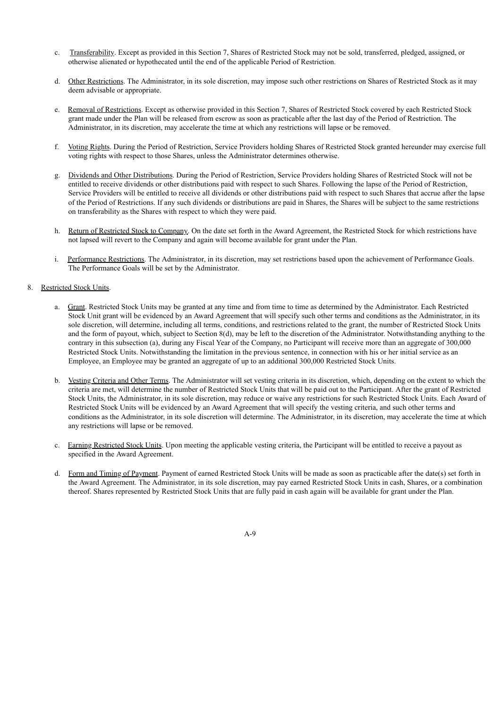- c. Transferability. Except as provided in this Section 7, Shares of Restricted Stock may not be sold, transferred, pledged, assigned, or otherwise alienated or hypothecated until the end of the applicable Period of Restriction.
- d. Other Restrictions. The Administrator, in its sole discretion, may impose such other restrictions on Shares of Restricted Stock as it may deem advisable or appropriate.
- e. Removal of Restrictions. Except as otherwise provided in this Section 7, Shares of Restricted Stock covered by each Restricted Stock grant made under the Plan will be released from escrow as soon as practicable after the last day of the Period of Restriction. The Administrator, in its discretion, may accelerate the time at which any restrictions will lapse or be removed.
- f. Voting Rights. During the Period of Restriction, Service Providers holding Shares of Restricted Stock granted hereunder may exercise full voting rights with respect to those Shares, unless the Administrator determines otherwise.
- g. Dividends and Other Distributions. During the Period of Restriction, Service Providers holding Shares of Restricted Stock will not be entitled to receive dividends or other distributions paid with respect to such Shares. Following the lapse of the Period of Restriction, Service Providers will be entitled to receive all dividends or other distributions paid with respect to such Shares that accrue after the lapse of the Period of Restrictions. If any such dividends or distributions are paid in Shares, the Shares will be subject to the same restrictions on transferability as the Shares with respect to which they were paid.
- h. Return of Restricted Stock to Company. On the date set forth in the Award Agreement, the Restricted Stock for which restrictions have not lapsed will revert to the Company and again will become available for grant under the Plan.
- i. Performance Restrictions. The Administrator, in its discretion, may set restrictions based upon the achievement of Performance Goals. The Performance Goals will be set by the Administrator.

### 8. Restricted Stock Units.

- a. Grant. Restricted Stock Units may be granted at any time and from time to time as determined by the Administrator. Each Restricted Stock Unit grant will be evidenced by an Award Agreement that will specify such other terms and conditions as the Administrator, in its sole discretion, will determine, including all terms, conditions, and restrictions related to the grant, the number of Restricted Stock Units and the form of payout, which, subject to Section 8(d), may be left to the discretion of the Administrator. Notwithstanding anything to the contrary in this subsection (a), during any Fiscal Year of the Company, no Participant will receive more than an aggregate of 300,000 Restricted Stock Units. Notwithstanding the limitation in the previous sentence, in connection with his or her initial service as an Employee, an Employee may be granted an aggregate of up to an additional 300,000 Restricted Stock Units.
- b. Vesting Criteria and Other Terms. The Administrator will set vesting criteria in its discretion, which, depending on the extent to which the criteria are met, will determine the number of Restricted Stock Units that will be paid out to the Participant. After the grant of Restricted Stock Units, the Administrator, in its sole discretion, may reduce or waive any restrictions for such Restricted Stock Units. Each Award of Restricted Stock Units will be evidenced by an Award Agreement that will specify the vesting criteria, and such other terms and conditions as the Administrator, in its sole discretion will determine. The Administrator, in its discretion, may accelerate the time at which any restrictions will lapse or be removed.
- c. Earning Restricted Stock Units. Upon meeting the applicable vesting criteria, the Participant will be entitled to receive a payout as specified in the Award Agreement.
- d. Form and Timing of Payment. Payment of earned Restricted Stock Units will be made as soon as practicable after the date(s) set forth in the Award Agreement. The Administrator, in its sole discretion, may pay earned Restricted Stock Units in cash, Shares, or a combination thereof. Shares represented by Restricted Stock Units that are fully paid in cash again will be available for grant under the Plan.

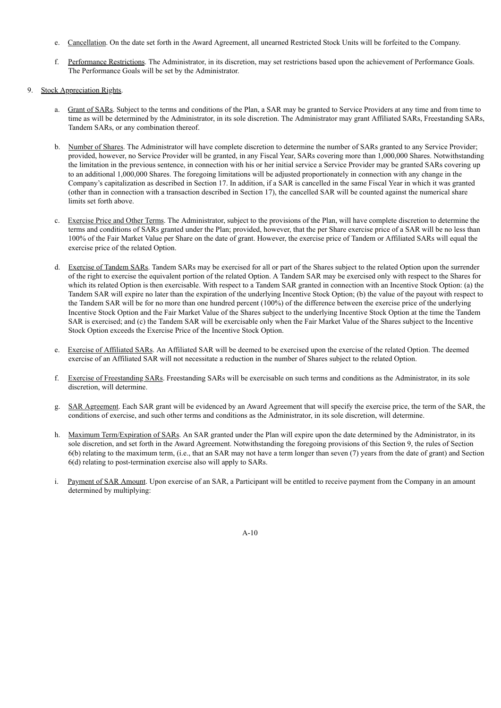- e. Cancellation. On the date set forth in the Award Agreement, all unearned Restricted Stock Units will be forfeited to the Company.
- f. Performance Restrictions. The Administrator, in its discretion, may set restrictions based upon the achievement of Performance Goals. The Performance Goals will be set by the Administrator.
- 9. Stock Appreciation Rights.
	- a. Grant of SARs. Subject to the terms and conditions of the Plan, a SAR may be granted to Service Providers at any time and from time to time as will be determined by the Administrator, in its sole discretion. The Administrator may grant Affiliated SARs, Freestanding SARs, Tandem SARs, or any combination thereof.
	- b. Number of Shares. The Administrator will have complete discretion to determine the number of SARs granted to any Service Provider; provided, however, no Service Provider will be granted, in any Fiscal Year, SARs covering more than 1,000,000 Shares. Notwithstanding the limitation in the previous sentence, in connection with his or her initial service a Service Provider may be granted SARs covering up to an additional 1,000,000 Shares. The foregoing limitations will be adjusted proportionately in connection with any change in the Company's capitalization as described in Section 17. In addition, if a SAR is cancelled in the same Fiscal Year in which it was granted (other than in connection with a transaction described in Section 17), the cancelled SAR will be counted against the numerical share limits set forth above.
	- c. Exercise Price and Other Terms. The Administrator, subject to the provisions of the Plan, will have complete discretion to determine the terms and conditions of SARs granted under the Plan; provided, however, that the per Share exercise price of a SAR will be no less than 100% of the Fair Market Value per Share on the date of grant. However, the exercise price of Tandem or Affiliated SARs will equal the exercise price of the related Option.
	- d. Exercise of Tandem SARs. Tandem SARs may be exercised for all or part of the Shares subject to the related Option upon the surrender of the right to exercise the equivalent portion of the related Option. A Tandem SAR may be exercised only with respect to the Shares for which its related Option is then exercisable. With respect to a Tandem SAR granted in connection with an Incentive Stock Option: (a) the Tandem SAR will expire no later than the expiration of the underlying Incentive Stock Option; (b) the value of the payout with respect to the Tandem SAR will be for no more than one hundred percent (100%) of the difference between the exercise price of the underlying Incentive Stock Option and the Fair Market Value of the Shares subject to the underlying Incentive Stock Option at the time the Tandem SAR is exercised; and (c) the Tandem SAR will be exercisable only when the Fair Market Value of the Shares subject to the Incentive Stock Option exceeds the Exercise Price of the Incentive Stock Option.
	- e. Exercise of Affiliated SARs. An Affiliated SAR will be deemed to be exercised upon the exercise of the related Option. The deemed exercise of an Affiliated SAR will not necessitate a reduction in the number of Shares subject to the related Option.
	- f. Exercise of Freestanding SARs. Freestanding SARs will be exercisable on such terms and conditions as the Administrator, in its sole discretion, will determine.
	- g. SAR Agreement. Each SAR grant will be evidenced by an Award Agreement that will specify the exercise price, the term of the SAR, the conditions of exercise, and such other terms and conditions as the Administrator, in its sole discretion, will determine.
	- h. Maximum Term/Expiration of SARs. An SAR granted under the Plan will expire upon the date determined by the Administrator, in its sole discretion, and set forth in the Award Agreement. Notwithstanding the foregoing provisions of this Section 9, the rules of Section 6(b) relating to the maximum term, (i.e., that an SAR may not have a term longer than seven (7) years from the date of grant) and Section 6(d) relating to post-termination exercise also will apply to SARs.
	- i. Payment of SAR Amount. Upon exercise of an SAR, a Participant will be entitled to receive payment from the Company in an amount determined by multiplying: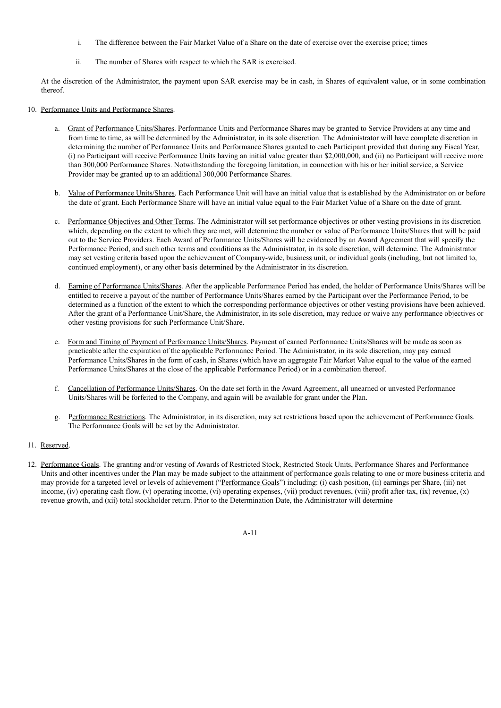- i. The difference between the Fair Market Value of a Share on the date of exercise over the exercise price; times
- ii. The number of Shares with respect to which the SAR is exercised.

At the discretion of the Administrator, the payment upon SAR exercise may be in cash, in Shares of equivalent value, or in some combination thereof.

- 10. Performance Units and Performance Shares.
	- a. Grant of Performance Units/Shares. Performance Units and Performance Shares may be granted to Service Providers at any time and from time to time, as will be determined by the Administrator, in its sole discretion. The Administrator will have complete discretion in determining the number of Performance Units and Performance Shares granted to each Participant provided that during any Fiscal Year, (i) no Participant will receive Performance Units having an initial value greater than \$2,000,000, and (ii) no Participant will receive more than 300,000 Performance Shares. Notwithstanding the foregoing limitation, in connection with his or her initial service, a Service Provider may be granted up to an additional 300,000 Performance Shares.
	- b. Value of Performance Units/Shares. Each Performance Unit will have an initial value that is established by the Administrator on or before the date of grant. Each Performance Share will have an initial value equal to the Fair Market Value of a Share on the date of grant.
	- c. Performance Objectives and Other Terms. The Administrator will set performance objectives or other vesting provisions in its discretion which, depending on the extent to which they are met, will determine the number or value of Performance Units/Shares that will be paid out to the Service Providers. Each Award of Performance Units/Shares will be evidenced by an Award Agreement that will specify the Performance Period, and such other terms and conditions as the Administrator, in its sole discretion, will determine. The Administrator may set vesting criteria based upon the achievement of Company-wide, business unit, or individual goals (including, but not limited to, continued employment), or any other basis determined by the Administrator in its discretion.
	- d. Earning of Performance Units/Shares. After the applicable Performance Period has ended, the holder of Performance Units/Shares will be entitled to receive a payout of the number of Performance Units/Shares earned by the Participant over the Performance Period, to be determined as a function of the extent to which the corresponding performance objectives or other vesting provisions have been achieved. After the grant of a Performance Unit/Share, the Administrator, in its sole discretion, may reduce or waive any performance objectives or other vesting provisions for such Performance Unit/Share.
	- e. Form and Timing of Payment of Performance Units/Shares. Payment of earned Performance Units/Shares will be made as soon as practicable after the expiration of the applicable Performance Period. The Administrator, in its sole discretion, may pay earned Performance Units/Shares in the form of cash, in Shares (which have an aggregate Fair Market Value equal to the value of the earned Performance Units/Shares at the close of the applicable Performance Period) or in a combination thereof.
	- f. Cancellation of Performance Units/Shares. On the date set forth in the Award Agreement, all unearned or unvested Performance Units/Shares will be forfeited to the Company, and again will be available for grant under the Plan.
	- g. Performance Restrictions. The Administrator, in its discretion, may set restrictions based upon the achievement of Performance Goals. The Performance Goals will be set by the Administrator.
- 11. Reserved.
- 12. Performance Goals. The granting and/or vesting of Awards of Restricted Stock, Restricted Stock Units, Performance Shares and Performance Units and other incentives under the Plan may be made subject to the attainment of performance goals relating to one or more business criteria and may provide for a targeted level or levels of achievement ("Performance Goals") including: (i) cash position, (ii) earnings per Share, (iii) net income, (iv) operating cash flow, (v) operating income, (vi) operating expenses, (vii) product revenues, (viii) profit after-tax, (ix) revenue, (x) revenue growth, and (xii) total stockholder return. Prior to the Determination Date, the Administrator will determine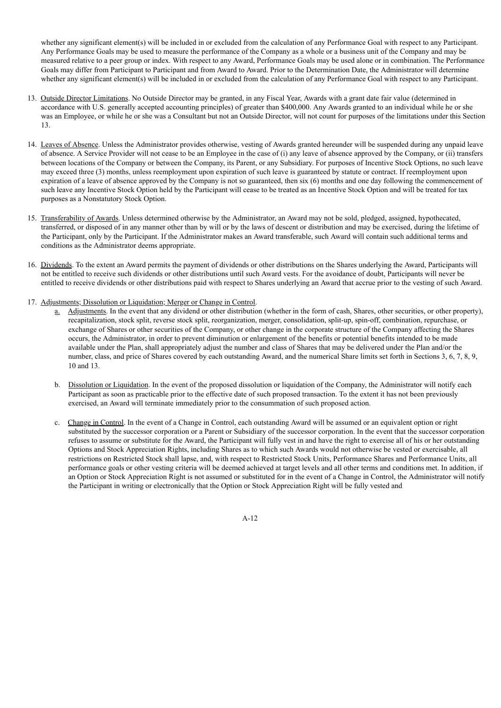whether any significant element(s) will be included in or excluded from the calculation of any Performance Goal with respect to any Participant. Any Performance Goals may be used to measure the performance of the Company as a whole or a business unit of the Company and may be measured relative to a peer group or index. With respect to any Award, Performance Goals may be used alone or in combination. The Performance Goals may differ from Participant to Participant and from Award to Award. Prior to the Determination Date, the Administrator will determine whether any significant element(s) will be included in or excluded from the calculation of any Performance Goal with respect to any Participant.

- 13. Outside Director Limitations. No Outside Director may be granted, in any Fiscal Year, Awards with a grant date fair value (determined in accordance with U.S. generally accepted accounting principles) of greater than \$400,000. Any Awards granted to an individual while he or she was an Employee, or while he or she was a Consultant but not an Outside Director, will not count for purposes of the limitations under this Section 13.
- 14. Leaves of Absence. Unless the Administrator provides otherwise, vesting of Awards granted hereunder will be suspended during any unpaid leave of absence. A Service Provider will not cease to be an Employee in the case of (i) any leave of absence approved by the Company, or (ii) transfers between locations of the Company or between the Company, its Parent, or any Subsidiary. For purposes of Incentive Stock Options, no such leave may exceed three (3) months, unless reemployment upon expiration of such leave is guaranteed by statute or contract. If reemployment upon expiration of a leave of absence approved by the Company is not so guaranteed, then six (6) months and one day following the commencement of such leave any Incentive Stock Option held by the Participant will cease to be treated as an Incentive Stock Option and will be treated for tax purposes as a Nonstatutory Stock Option.
- 15. Transferability of Awards. Unless determined otherwise by the Administrator, an Award may not be sold, pledged, assigned, hypothecated, transferred, or disposed of in any manner other than by will or by the laws of descent or distribution and may be exercised, during the lifetime of the Participant, only by the Participant. If the Administrator makes an Award transferable, such Award will contain such additional terms and conditions as the Administrator deems appropriate.
- 16. Dividends. To the extent an Award permits the payment of dividends or other distributions on the Shares underlying the Award, Participants will not be entitled to receive such dividends or other distributions until such Award vests. For the avoidance of doubt, Participants will never be entitled to receive dividends or other distributions paid with respect to Shares underlying an Award that accrue prior to the vesting of such Award.
- 17. Adjustments; Dissolution or Liquidation; Merger or Change in Control.
	- a. Adjustments. In the event that any dividend or other distribution (whether in the form of cash, Shares, other securities, or other property), recapitalization, stock split, reverse stock split, reorganization, merger, consolidation, split-up, spin-off, combination, repurchase, or exchange of Shares or other securities of the Company, or other change in the corporate structure of the Company affecting the Shares occurs, the Administrator, in order to prevent diminution or enlargement of the benefits or potential benefits intended to be made available under the Plan, shall appropriately adjust the number and class of Shares that may be delivered under the Plan and/or the number, class, and price of Shares covered by each outstanding Award, and the numerical Share limits set forth in Sections 3, 6, 7, 8, 9, 10 and 13.
	- b. Dissolution or Liquidation. In the event of the proposed dissolution or liquidation of the Company, the Administrator will notify each Participant as soon as practicable prior to the effective date of such proposed transaction. To the extent it has not been previously exercised, an Award will terminate immediately prior to the consummation of such proposed action.
	- c. Change in Control. In the event of a Change in Control, each outstanding Award will be assumed or an equivalent option or right substituted by the successor corporation or a Parent or Subsidiary of the successor corporation. In the event that the successor corporation refuses to assume or substitute for the Award, the Participant will fully vest in and have the right to exercise all of his or her outstanding Options and Stock Appreciation Rights, including Shares as to which such Awards would not otherwise be vested or exercisable, all restrictions on Restricted Stock shall lapse, and, with respect to Restricted Stock Units, Performance Shares and Performance Units, all performance goals or other vesting criteria will be deemed achieved at target levels and all other terms and conditions met. In addition, if an Option or Stock Appreciation Right is not assumed or substituted for in the event of a Change in Control, the Administrator will notify the Participant in writing or electronically that the Option or Stock Appreciation Right will be fully vested and

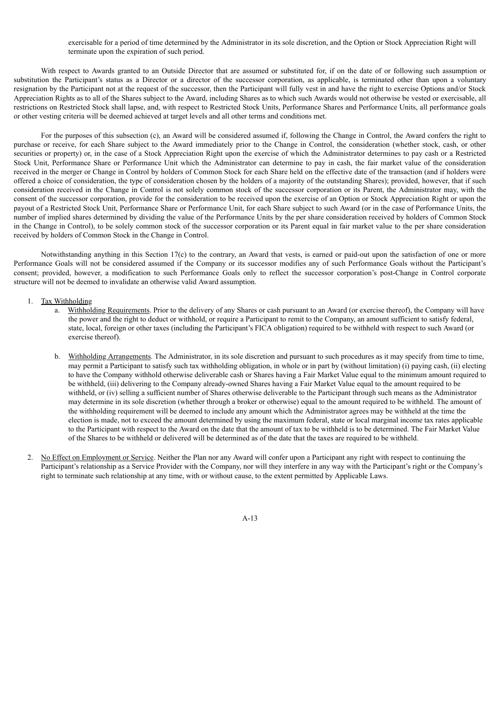exercisable for a period of time determined by the Administrator in its sole discretion, and the Option or Stock Appreciation Right will terminate upon the expiration of such period.

With respect to Awards granted to an Outside Director that are assumed or substituted for, if on the date of or following such assumption or substitution the Participant's status as a Director or a director of the successor corporation, as applicable, is terminated other than upon a voluntary resignation by the Participant not at the request of the successor, then the Participant will fully vest in and have the right to exercise Options and/or Stock Appreciation Rights as to all of the Shares subject to the Award, including Shares as to which such Awards would not otherwise be vested or exercisable, all restrictions on Restricted Stock shall lapse, and, with respect to Restricted Stock Units, Performance Shares and Performance Units, all performance goals or other vesting criteria will be deemed achieved at target levels and all other terms and conditions met.

For the purposes of this subsection (c), an Award will be considered assumed if, following the Change in Control, the Award confers the right to purchase or receive, for each Share subject to the Award immediately prior to the Change in Control, the consideration (whether stock, cash, or other securities or property) or, in the case of a Stock Appreciation Right upon the exercise of which the Administrator determines to pay cash or a Restricted Stock Unit, Performance Share or Performance Unit which the Administrator can determine to pay in cash, the fair market value of the consideration received in the merger or Change in Control by holders of Common Stock for each Share held on the effective date of the transaction (and if holders were offered a choice of consideration, the type of consideration chosen by the holders of a majority of the outstanding Shares); provided, however, that if such consideration received in the Change in Control is not solely common stock of the successor corporation or its Parent, the Administrator may, with the consent of the successor corporation, provide for the consideration to be received upon the exercise of an Option or Stock Appreciation Right or upon the payout of a Restricted Stock Unit, Performance Share or Performance Unit, for each Share subject to such Award (or in the case of Performance Units, the number of implied shares determined by dividing the value of the Performance Units by the per share consideration received by holders of Common Stock in the Change in Control), to be solely common stock of the successor corporation or its Parent equal in fair market value to the per share consideration received by holders of Common Stock in the Change in Control.

Notwithstanding anything in this Section 17(c) to the contrary, an Award that vests, is earned or paid-out upon the satisfaction of one or more Performance Goals will not be considered assumed if the Company or its successor modifies any of such Performance Goals without the Participant's consent; provided, however, a modification to such Performance Goals only to reflect the successor corporation's post-Change in Control corporate structure will not be deemed to invalidate an otherwise valid Award assumption.

#### 1. Tax Withholding

- a. Withholding Requirements. Prior to the delivery of any Shares or cash pursuant to an Award (or exercise thereof), the Company will have the power and the right to deduct or withhold, or require a Participant to remit to the Company, an amount sufficient to satisfy federal, state, local, foreign or other taxes (including the Participant's FICA obligation) required to be withheld with respect to such Award (or exercise thereof).
- b. Withholding Arrangements. The Administrator, in its sole discretion and pursuant to such procedures as it may specify from time to time, may permit a Participant to satisfy such tax withholding obligation, in whole or in part by (without limitation) (i) paying cash, (ii) electing to have the Company withhold otherwise deliverable cash or Shares having a Fair Market Value equal to the minimum amount required to be withheld, (iii) delivering to the Company already-owned Shares having a Fair Market Value equal to the amount required to be withheld, or (iv) selling a sufficient number of Shares otherwise deliverable to the Participant through such means as the Administrator may determine in its sole discretion (whether through a broker or otherwise) equal to the amount required to be withheld. The amount of the withholding requirement will be deemed to include any amount which the Administrator agrees may be withheld at the time the election is made, not to exceed the amount determined by using the maximum federal, state or local marginal income tax rates applicable to the Participant with respect to the Award on the date that the amount of tax to be withheld is to be determined. The Fair Market Value of the Shares to be withheld or delivered will be determined as of the date that the taxes are required to be withheld.
- 2. No Effect on Employment or Service. Neither the Plan nor any Award will confer upon a Participant any right with respect to continuing the Participant's relationship as a Service Provider with the Company, nor will they interfere in any way with the Participant's right or the Company's right to terminate such relationship at any time, with or without cause, to the extent permitted by Applicable Laws.